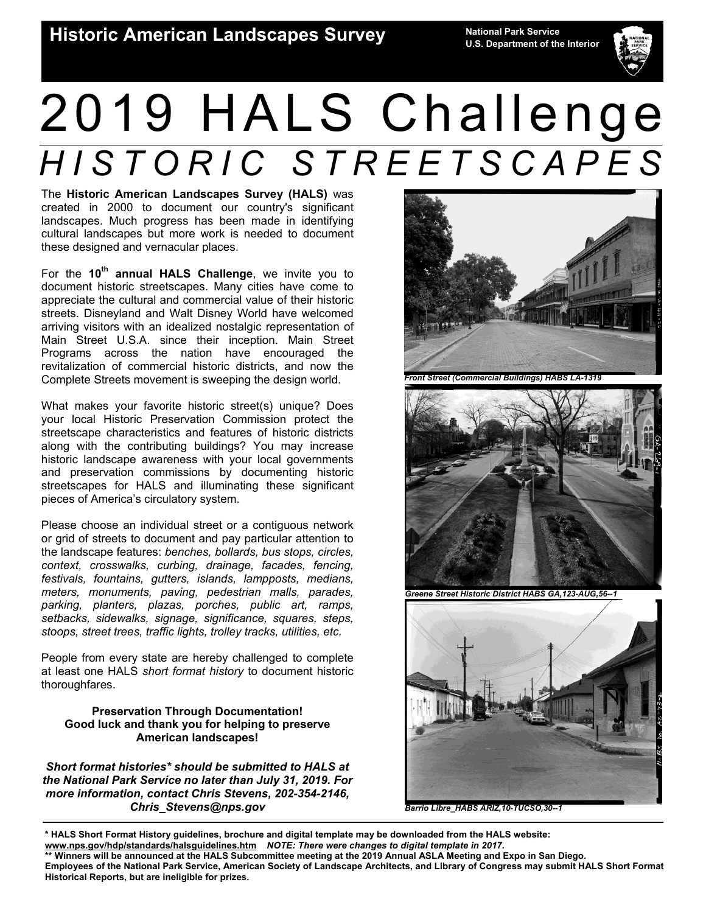

# 2019 HALS Challenge *HISTORIC STREETSCAPES*

The **Historic American Landscapes Survey (HALS)** was created in 2000 to document our country's significant landscapes. Much progress has been made in identifying cultural landscapes but more work is needed to document these designed and vernacular places.

For the **10th annual HALS Challenge**, we invite you to document historic streetscapes. Many cities have come to appreciate the cultural and commercial value of their historic streets. Disneyland and Walt Disney World have welcomed arriving visitors with an idealized nostalgic representation of Main Street U.S.A. since their inception. Main Street Programs across the nation have encouraged the revitalization of commercial historic districts, and now the Complete Streets movement is sweeping the design world.

What makes your favorite historic street(s) unique? Does your local Historic Preservation Commission protect the streetscape characteristics and features of historic districts along with the contributing buildings? You may increase historic landscape awareness with your local governments and preservation commissions by documenting historic streetscapes for HALS and illuminating these significant pieces of America's circulatory system.

Please choose an individual street or a contiguous network or grid of streets to document and pay particular attention to the landscape features: *benches, bollards, bus stops, circles, context, crosswalks, curbing, drainage, facades, fencing, festivals, fountains, gutters, islands, lampposts, medians, meters, monuments, paving, pedestrian malls, parades, parking, planters, plazas, porches, public art, ramps, setbacks, sidewalks, signage, significance, squares, steps, stoops, street trees, traffic lights, trolley tracks, utilities, etc.*

People from every state are hereby challenged to complete at least one HALS *short format history* to document historic thoroughfares.

## **Preservation Through Documentation! Good luck and thank you for helping to preserve American landscapes!**

*Short format histories\* should be submitted to HALS at the National Park Service no later than July 31, 2019. For more information, contact Chris Stevens, 202-354-2146, Chris\_Stevens@nps.gov* 



*Front Street (Commercial Buildings) HABS LA-1319* 



*Greene Street Historic District HABS GA,123-AUG,56--1* 



*Barrio Libre\_HABS ARIZ,10-TUCSO,30--1* 

**<sup>\*</sup> HALS Short Format History guidelines, brochure and digital template may be downloaded from the HALS website: www.nps.gov/hdp/standards/halsguidelines.htm** *NOTE: There were changes to digital template in 2017.*  **\*\* Winners will be announced at the HALS Subcommittee meeting at the 2019 Annual ASLA Meeting and Expo in San Diego.** 

**Employees of the National Park Service, American Society of Landscape Architects, and Library of Congress may submit HALS Short Format Historical Reports, but are ineligible for prizes.**